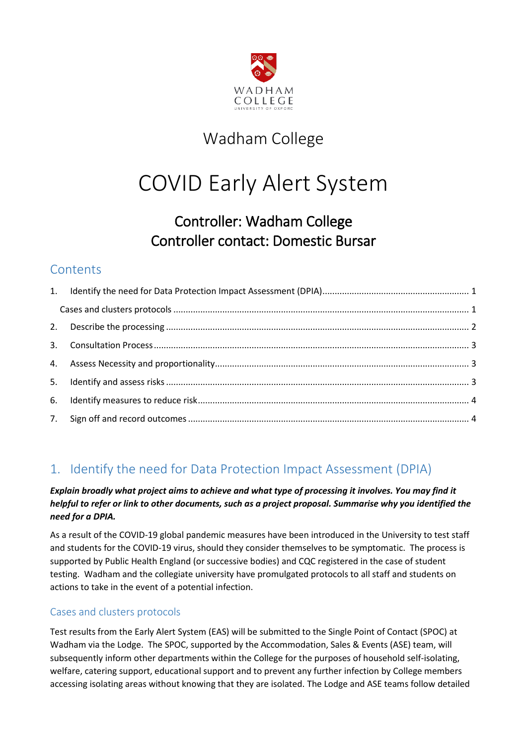

# Wadham College

# COVID Early Alert System

# Controller: Wadham College Controller contact: Domestic Bursar

### **Contents**

### <span id="page-0-0"></span>1. Identify the need for Data Protection Impact Assessment (DPIA)

#### *Explain broadly what project aims to achieve and what type of processing it involves. You may find it helpful to refer or link to other documents, such as a project proposal. Summarise why you identified the need for a DPIA.*

As a result of the COVID-19 global pandemic measures have been introduced in the University to test staff and students for the COVID-19 virus, should they consider themselves to be symptomatic. The process is supported by Public Health England (or successive bodies) and CQC registered in the case of student testing. Wadham and the collegiate university have promulgated protocols to all staff and students on actions to take in the event of a potential infection.

#### <span id="page-0-1"></span>Cases and clusters protocols

Test results from the Early Alert System (EAS) will be submitted to the Single Point of Contact (SPOC) at Wadham via the Lodge. The SPOC, supported by the Accommodation, Sales & Events (ASE) team, will subsequently inform other departments within the College for the purposes of household self-isolating, welfare, catering support, educational support and to prevent any further infection by College members accessing isolating areas without knowing that they are isolated. The Lodge and ASE teams follow detailed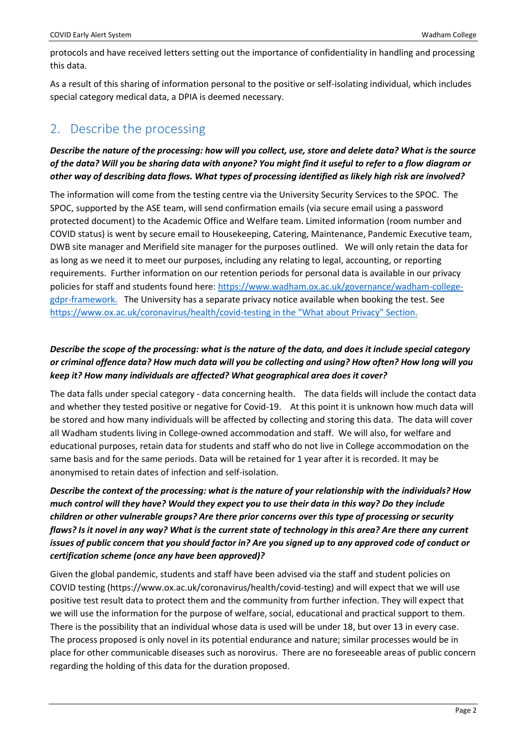protocols and have received letters setting out the importance of confidentiality in handling and processing this data.

As a result of this sharing of information personal to the positive or self-isolating individual, which includes special category medical data, a DPIA is deemed necessary.

### <span id="page-1-0"></span>2. Describe the processing

#### *Describe the nature of the processing: how will you collect, use, store and delete data? What is the source of the data? Will you be sharing data with anyone? You might find it useful to refer to a flow diagram or other way of describing data flows. What types of processing identified as likely high risk are involved?*

The information will come from the testing centre via the University Security Services to the SPOC. The SPOC, supported by the ASE team, will send confirmation emails (via secure email using a password protected document) to the Academic Office and Welfare team. Limited information (room number and COVID status) is went by secure email to Housekeeping, Catering, Maintenance, Pandemic Executive team, DWB site manager and Merifield site manager for the purposes outlined. We will only retain the data for as long as we need it to meet our purposes, including any relating to legal, accounting, or reporting requirements. Further information on our retention periods for personal data is available in our privacy policies for staff and students found here: [https://www.wadham.ox.ac.uk/governance/wadham-college](https://www.wadham.ox.ac.uk/governance/wadham-college-gdpr-framework)[gdpr-framework.](https://www.wadham.ox.ac.uk/governance/wadham-college-gdpr-framework) The University has a separate privacy notice available when booking the test. See https://www.ox.ac.uk/coronavirus/health/covid-testing in the "What about Privacy" Section.

#### *Describe the scope of the processing: what is the nature of the data, and does it include special category or criminal offence data? How much data will you be collecting and using? How often? How long will you keep it? How many individuals are affected? What geographical area does it cover?*

The data falls under special category - data concerning health. The data fields will include the contact data and whether they tested positive or negative for Covid-19. At this point it is unknown how much data will be stored and how many individuals will be affected by collecting and storing this data. The data will cover all Wadham students living in College-owned accommodation and staff. We will also, for welfare and educational purposes, retain data for students and staff who do not live in College accommodation on the same basis and for the same periods. Data will be retained for 1 year after it is recorded. It may be anonymised to retain dates of infection and self-isolation.

#### *Describe the context of the processing: what is the nature of your relationship with the individuals? How much control will they have? Would they expect you to use their data in this way? Do they include children or other vulnerable groups? Are there prior concerns over this type of processing or security flaws? Is it novel in any way? What is the current state of technology in this area? Are there any current issues of public concern that you should factor in? Are you signed up to any approved code of conduct or certification scheme (once any have been approved)?*

Given the global pandemic, students and staff have been advised via the staff and student policies on COVID testing (https://www.ox.ac.uk/coronavirus/health/covid-testing) and will expect that we will use positive test result data to protect them and the community from further infection. They will expect that we will use the information for the purpose of welfare, social, educational and practical support to them. There is the possibility that an individual whose data is used will be under 18, but over 13 in every case. The process proposed is only novel in its potential endurance and nature; similar processes would be in place for other communicable diseases such as norovirus. There are no foreseeable areas of public concern regarding the holding of this data for the duration proposed.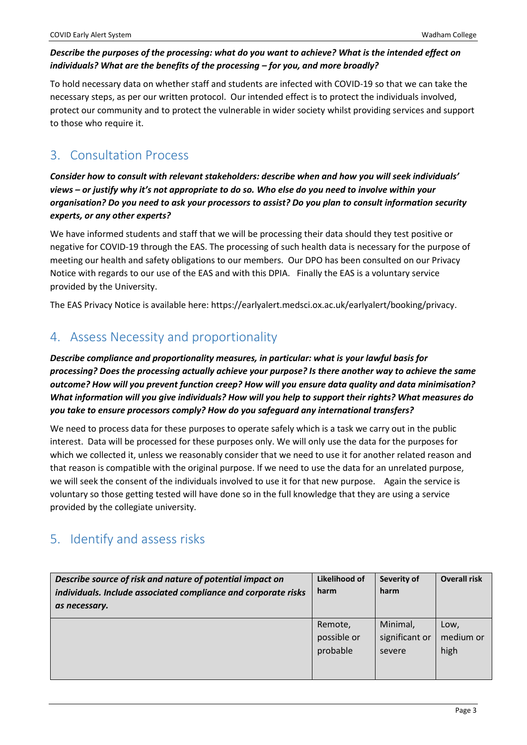#### *Describe the purposes of the processing: what do you want to achieve? What is the intended effect on individuals? What are the benefits of the processing – for you, and more broadly?*

To hold necessary data on whether staff and students are infected with COVID-19 so that we can take the necessary steps, as per our written protocol. Our intended effect is to protect the individuals involved, protect our community and to protect the vulnerable in wider society whilst providing services and support to those who require it.

### <span id="page-2-0"></span>3. Consultation Process

*Consider how to consult with relevant stakeholders: describe when and how you will seek individuals' views – or justify why it's not appropriate to do so. Who else do you need to involve within your organisation? Do you need to ask your processors to assist? Do you plan to consult information security experts, or any other experts?*

We have informed students and staff that we will be processing their data should they test positive or negative for COVID-19 through the EAS. The processing of such health data is necessary for the purpose of meeting our health and safety obligations to our members. Our DPO has been consulted on our Privacy Notice with regards to our use of the EAS and with this DPIA. Finally the EAS is a voluntary service provided by the University.

The EAS Privacy Notice is available here: https://earlyalert.medsci.ox.ac.uk/earlyalert/booking/privacy.

### <span id="page-2-1"></span>4. Assess Necessity and proportionality

*Describe compliance and proportionality measures, in particular: what is your lawful basis for processing? Does the processing actually achieve your purpose? Is there another way to achieve the same outcome? How will you prevent function creep? How will you ensure data quality and data minimisation? What information will you give individuals? How will you help to support their rights? What measures do you take to ensure processors comply? How do you safeguard any international transfers?*

We need to process data for these purposes to operate safely which is a task we carry out in the public interest. Data will be processed for these purposes only. We will only use the data for the purposes for which we collected it, unless we reasonably consider that we need to use it for another related reason and that reason is compatible with the original purpose. If we need to use the data for an unrelated purpose, we will seek the consent of the individuals involved to use it for that new purpose. Again the service is voluntary so those getting tested will have done so in the full knowledge that they are using a service provided by the collegiate university.

### <span id="page-2-2"></span>5. Identify and assess risks

| Describe source of risk and nature of potential impact on<br>individuals. Include associated compliance and corporate risks<br>as necessary. | Likelihood of<br>harm | Severity of<br>harm | <b>Overall risk</b> |
|----------------------------------------------------------------------------------------------------------------------------------------------|-----------------------|---------------------|---------------------|
|                                                                                                                                              | Remote,               | Minimal,            | Low,                |
|                                                                                                                                              | possible or           | significant or      | medium or           |
|                                                                                                                                              | probable              | severe              | high                |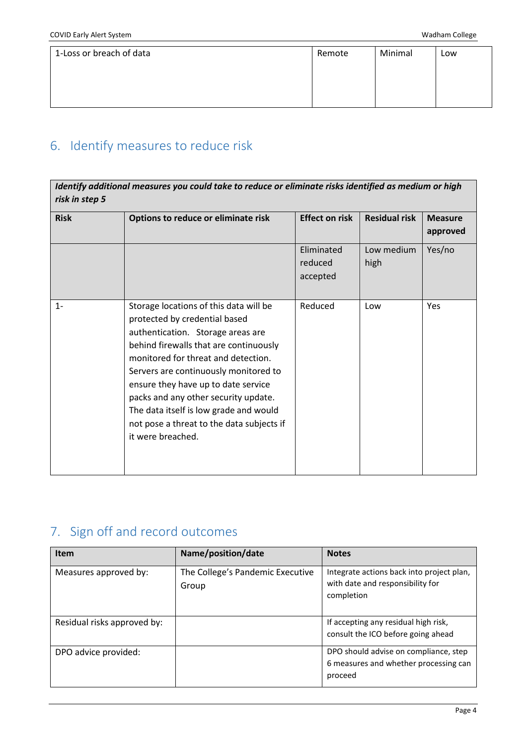| 1-Loss or breach of data | Remote | Minimal | Low |
|--------------------------|--------|---------|-----|
|                          |        |         |     |

## <span id="page-3-0"></span>6. Identify measures to reduce risk

| Identify additional measures you could take to reduce or eliminate risks identified as medium or high<br>risk in step 5 |                                                                                                                                                                                                                                                                                                                                                                                                                                   |                                   |                      |                            |
|-------------------------------------------------------------------------------------------------------------------------|-----------------------------------------------------------------------------------------------------------------------------------------------------------------------------------------------------------------------------------------------------------------------------------------------------------------------------------------------------------------------------------------------------------------------------------|-----------------------------------|----------------------|----------------------------|
| <b>Risk</b>                                                                                                             | Options to reduce or eliminate risk                                                                                                                                                                                                                                                                                                                                                                                               | <b>Effect on risk</b>             | <b>Residual risk</b> | <b>Measure</b><br>approved |
|                                                                                                                         |                                                                                                                                                                                                                                                                                                                                                                                                                                   | Eliminated<br>reduced<br>accepted | Low medium<br>high   | Yes/no                     |
| $1 -$                                                                                                                   | Storage locations of this data will be<br>protected by credential based<br>authentication. Storage areas are<br>behind firewalls that are continuously<br>monitored for threat and detection.<br>Servers are continuously monitored to<br>ensure they have up to date service<br>packs and any other security update.<br>The data itself is low grade and would<br>not pose a threat to the data subjects if<br>it were breached. | Reduced                           | Low                  | Yes                        |

# <span id="page-3-1"></span>7. Sign off and record outcomes

| <b>Item</b>                 | Name/position/date                        | <b>Notes</b>                                                                                |
|-----------------------------|-------------------------------------------|---------------------------------------------------------------------------------------------|
| Measures approved by:       | The College's Pandemic Executive<br>Group | Integrate actions back into project plan,<br>with date and responsibility for<br>completion |
| Residual risks approved by: |                                           | If accepting any residual high risk,<br>consult the ICO before going ahead                  |
| DPO advice provided:        |                                           | DPO should advise on compliance, step<br>6 measures and whether processing can<br>proceed   |